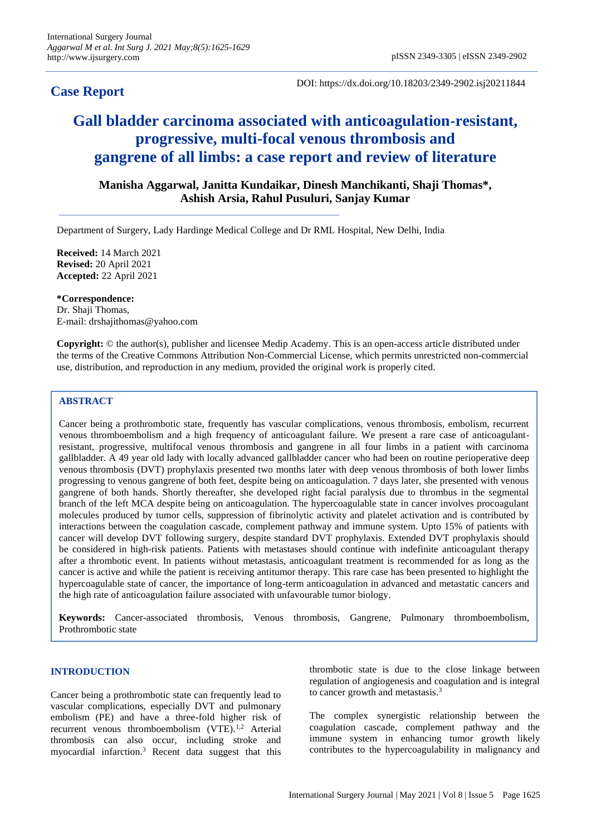# **Case Report**

DOI: https://dx.doi.org/10.18203/2349-2902.isj20211844

# **Gall bladder carcinoma associated with anticoagulation-resistant, progressive, multi-focal venous thrombosis and gangrene of all limbs: a case report and review of literature**

**Manisha Aggarwal, Janitta Kundaikar, Dinesh Manchikanti, Shaji Thomas\*, Ashish Arsia, Rahul Pusuluri, Sanjay Kumar**

Department of Surgery, Lady Hardinge Medical College and Dr RML Hospital, New Delhi, India

**Received:** 14 March 2021 **Revised:** 20 April 2021 **Accepted:** 22 April 2021

**\*Correspondence:** Dr. Shaji Thomas, E-mail: drshajithomas@yahoo.com

**Copyright:** © the author(s), publisher and licensee Medip Academy. This is an open-access article distributed under the terms of the Creative Commons Attribution Non-Commercial License, which permits unrestricted non-commercial use, distribution, and reproduction in any medium, provided the original work is properly cited.

# **ABSTRACT**

Cancer being a prothrombotic state, frequently has vascular complications, venous thrombosis, embolism, recurrent venous thromboembolism and a high frequency of anticoagulant failure. We present a rare case of anticoagulantresistant, progressive, multifocal venous thrombosis and gangrene in all four limbs in a patient with carcinoma gallbladder. A 49 year old lady with locally advanced gallbladder cancer who had been on routine perioperative deep venous thrombosis (DVT) prophylaxis presented two months later with deep venous thrombosis of both lower limbs progressing to venous gangrene of both feet, despite being on anticoagulation. 7 days later, she presented with venous gangrene of both hands. Shortly thereafter, she developed right facial paralysis due to thrombus in the segmental branch of the left MCA despite being on anticoagulation. The hypercoagulable state in cancer involves procoagulant molecules produced by tumor cells, suppression of fibrinolytic activity and platelet activation and is contributed by interactions between the coagulation cascade, complement pathway and immune system. Upto 15% of patients with cancer will develop DVT following surgery, despite standard DVT prophylaxis. Extended DVT prophylaxis should be considered in high-risk patients. Patients with metastases should continue with indefinite anticoagulant therapy after a thrombotic event. In patients without metastasis, anticoagulant treatment is recommended for as long as the cancer is active and while the patient is receiving antitumor therapy. This rare case has been presented to highlight the hypercoagulable state of cancer, the importance of long-term anticoagulation in advanced and metastatic cancers and the high rate of anticoagulation failure associated with unfavourable tumor biology.

**Keywords:** Cancer-associated thrombosis, Venous thrombosis, Gangrene, Pulmonary thromboembolism, Prothrombotic state

# **INTRODUCTION**

Cancer being a prothrombotic state can frequently lead to vascular complications, especially DVT and pulmonary embolism (PE) and have a three-fold higher risk of recurrent venous thromboembolism (VTE).<sup>1,2</sup> Arterial thrombosis can also occur, including stroke and myocardial infarction.<sup>3</sup> Recent data suggest that this

thrombotic state is due to the close linkage between regulation of angiogenesis and coagulation and is integral to cancer growth and metastasis.<sup>3</sup>

The complex synergistic relationship between the coagulation cascade, complement pathway and the immune system in enhancing tumor growth likely contributes to the hypercoagulability in malignancy and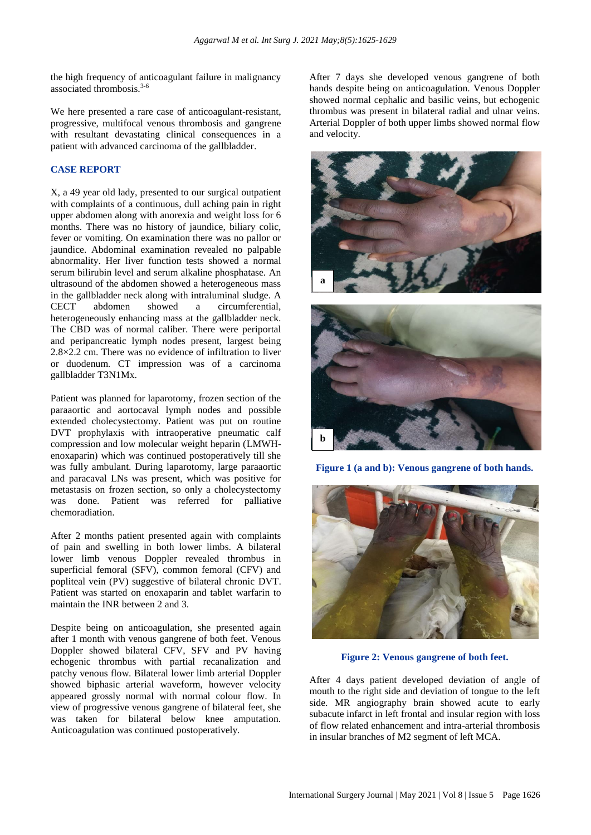the high frequency of anticoagulant failure in malignancy associated thrombosis.3-6

We here presented a rare case of anticoagulant-resistant, progressive, multifocal venous thrombosis and gangrene with resultant devastating clinical consequences in a patient with advanced carcinoma of the gallbladder.

# **CASE REPORT**

X, a 49 year old lady, presented to our surgical outpatient with complaints of a continuous, dull aching pain in right upper abdomen along with anorexia and weight loss for 6 months. There was no history of jaundice, biliary colic, fever or vomiting. On examination there was no pallor or jaundice. Abdominal examination revealed no palpable abnormality. Her liver function tests showed a normal serum bilirubin level and serum alkaline phosphatase. An ultrasound of the abdomen showed a heterogeneous mass in the gallbladder neck along with intraluminal sludge. A CECT abdomen showed a circumferential, heterogeneously enhancing mass at the gallbladder neck. The CBD was of normal caliber. There were periportal and peripancreatic lymph nodes present, largest being 2.8×2.2 cm. There was no evidence of infiltration to liver or duodenum. CT impression was of a carcinoma gallbladder T3N1Mx.

Patient was planned for laparotomy, frozen section of the paraaortic and aortocaval lymph nodes and possible extended cholecystectomy. Patient was put on routine DVT prophylaxis with intraoperative pneumatic calf compression and low molecular weight heparin (LMWHenoxaparin) which was continued postoperatively till she was fully ambulant. During laparotomy, large paraaortic and paracaval LNs was present, which was positive for metastasis on frozen section, so only a cholecystectomy was done. Patient was referred for palliative chemoradiation.

After 2 months patient presented again with complaints of pain and swelling in both lower limbs. A bilateral lower limb venous Doppler revealed thrombus in superficial femoral (SFV), common femoral (CFV) and popliteal vein (PV) suggestive of bilateral chronic DVT. Patient was started on enoxaparin and tablet warfarin to maintain the INR between 2 and 3.

Despite being on anticoagulation, she presented again after 1 month with venous gangrene of both feet. Venous Doppler showed bilateral CFV, SFV and PV having echogenic thrombus with partial recanalization and patchy venous flow. Bilateral lower limb arterial Doppler showed biphasic arterial waveform, however velocity appeared grossly normal with normal colour flow. In view of progressive venous gangrene of bilateral feet, she was taken for bilateral below knee amputation. Anticoagulation was continued postoperatively.

After 7 days she developed venous gangrene of both hands despite being on anticoagulation. Venous Doppler showed normal cephalic and basilic veins, but echogenic thrombus was present in bilateral radial and ulnar veins. Arterial Doppler of both upper limbs showed normal flow and velocity.



**Figure 1 (a and b): Venous gangrene of both hands.**



**Figure 2: Venous gangrene of both feet.**

After 4 days patient developed deviation of angle of mouth to the right side and deviation of tongue to the left side. MR angiography brain showed acute to early subacute infarct in left frontal and insular region with loss of flow related enhancement and intra-arterial thrombosis in insular branches of M2 segment of left MCA.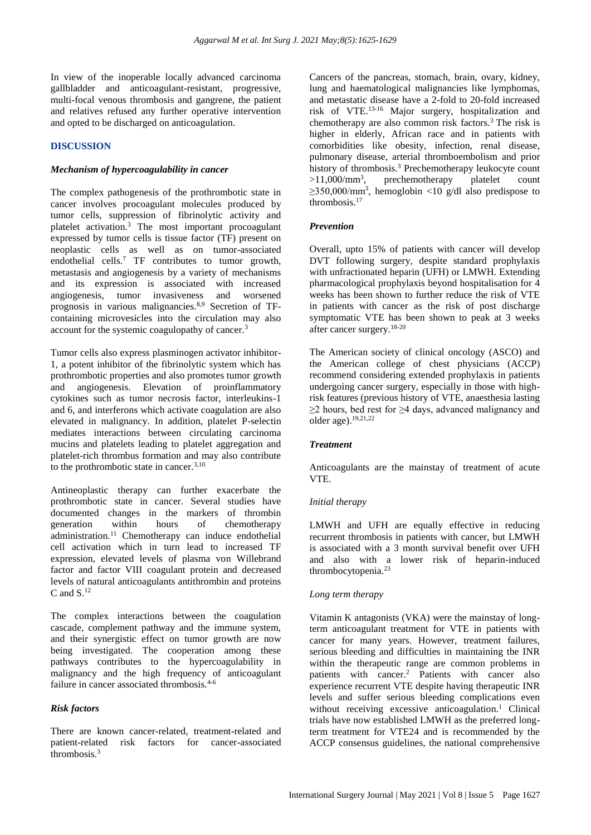In view of the inoperable locally advanced carcinoma gallbladder and anticoagulant-resistant, progressive, multi-focal venous thrombosis and gangrene, the patient and relatives refused any further operative intervention and opted to be discharged on anticoagulation.

# **DISCUSSION**

#### *Mechanism of hypercoagulability in cancer*

The complex pathogenesis of the prothrombotic state in cancer involves procoagulant molecules produced by tumor cells, suppression of fibrinolytic activity and platelet activation.<sup>3</sup> The most important procoagulant expressed by tumor cells is tissue factor (TF) present on neoplastic cells as well as on tumor-associated endothelial cells.<sup>7</sup> TF contributes to tumor growth, metastasis and angiogenesis by a variety of mechanisms and its expression is associated with increased angiogenesis, tumor invasiveness and worsened prognosis in various malignancies.8,9 Secretion of TFcontaining microvesicles into the circulation may also account for the systemic coagulopathy of cancer.<sup>3</sup>

Tumor cells also express plasminogen activator inhibitor-1, a potent inhibitor of the fibrinolytic system which has prothrombotic properties and also promotes tumor growth and angiogenesis. Elevation of proinflammatory cytokines such as tumor necrosis factor, interleukins-1 and 6, and interferons which activate coagulation are also elevated in malignancy. In addition, platelet P-selectin mediates interactions between circulating carcinoma mucins and platelets leading to platelet aggregation and platelet-rich thrombus formation and may also contribute to the prothrombotic state in cancer.<sup>3,10</sup>

Antineoplastic therapy can further exacerbate the prothrombotic state in cancer. Several studies have documented changes in the markers of thrombin<br>generation within hours of chemotherapy generation within hours of chemotherapy administration.<sup>11</sup> Chemotherapy can induce endothelial cell activation which in turn lead to increased TF expression, elevated levels of plasma von Willebrand factor and factor VIII coagulant protein and decreased levels of natural anticoagulants antithrombin and proteins C and  $S<sup>12</sup>$ 

The complex interactions between the coagulation cascade, complement pathway and the immune system, and their synergistic effect on tumor growth are now being investigated. The cooperation among these pathways contributes to the hypercoagulability in malignancy and the high frequency of anticoagulant failure in cancer associated thrombosis.<sup>4-6</sup>

# *Risk factors*

There are known cancer-related, treatment-related and patient-related risk factors for cancer-associated thrombosis.<sup>3</sup>

Cancers of the pancreas, stomach, brain, ovary, kidney, lung and haematological malignancies like lymphomas, and metastatic disease have a 2-fold to 20-fold increased risk of VTE.13-16 Major surgery, hospitalization and chemotherapy are also common risk factors.<sup>3</sup> The risk is higher in elderly, African race and in patients with comorbidities like obesity, infection, renal disease, pulmonary disease, arterial thromboembolism and prior history of thrombosis.<sup>3</sup> Prechemotherapy leukocyte count  $>11,000/\text{mm}^3$ , prechemotherapy platelet count  $\geq$ 350,000/mm<sup>3</sup>, hemoglobin <10 g/dl also predispose to thrombosis.<sup>17</sup>

#### *Prevention*

Overall, upto 15% of patients with cancer will develop DVT following surgery, despite standard prophylaxis with unfractionated heparin (UFH) or LMWH. Extending pharmacological prophylaxis beyond hospitalisation for 4 weeks has been shown to further reduce the risk of VTE in patients with cancer as the risk of post discharge symptomatic VTE has been shown to peak at 3 weeks after cancer surgery.18-20

The American society of clinical oncology (ASCO) and the American college of chest physicians (ACCP) recommend considering extended prophylaxis in patients undergoing cancer surgery, especially in those with highrisk features (previous history of VTE, anaesthesia lasting ≥2 hours, bed rest for ≥4 days, advanced malignancy and older age).19,21,22

#### *Treatment*

Anticoagulants are the mainstay of treatment of acute VTE.

#### *Initial therapy*

LMWH and UFH are equally effective in reducing recurrent thrombosis in patients with cancer, but LMWH is associated with a 3 month survival benefit over UFH and also with a lower risk of heparin-induced thrombocytopenia.<sup>23</sup>

#### *Long term therapy*

Vitamin K antagonists (VKA) were the mainstay of longterm anticoagulant treatment for VTE in patients with cancer for many years. However, treatment failures, serious bleeding and difficulties in maintaining the INR within the therapeutic range are common problems in patients with cancer.<sup>2</sup> Patients with cancer also experience recurrent VTE despite having therapeutic INR levels and suffer serious bleeding complications even without receiving excessive anticoagulation.<sup>1</sup> Clinical trials have now established LMWH as the preferred longterm treatment for VTE24 and is recommended by the ACCP consensus guidelines, the national comprehensive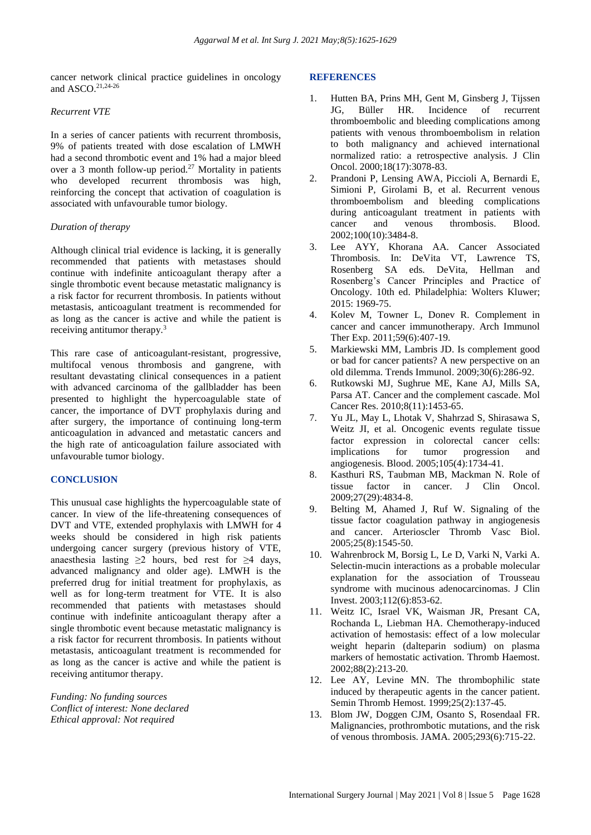cancer network clinical practice guidelines in oncology and ASCO. 21,24-26

# *Recurrent VTE*

In a series of cancer patients with recurrent thrombosis, 9% of patients treated with dose escalation of LMWH had a second thrombotic event and 1% had a major bleed over a 3 month follow-up period.<sup>27</sup> Mortality in patients who developed recurrent thrombosis was high, reinforcing the concept that activation of coagulation is associated with unfavourable tumor biology.

# *Duration of therapy*

Although clinical trial evidence is lacking, it is generally recommended that patients with metastases should continue with indefinite anticoagulant therapy after a single thrombotic event because metastatic malignancy is a risk factor for recurrent thrombosis. In patients without metastasis, anticoagulant treatment is recommended for as long as the cancer is active and while the patient is receiving antitumor therapy.<sup>3</sup>

This rare case of anticoagulant-resistant, progressive, multifocal venous thrombosis and gangrene, with resultant devastating clinical consequences in a patient with advanced carcinoma of the gallbladder has been presented to highlight the hypercoagulable state of cancer, the importance of DVT prophylaxis during and after surgery, the importance of continuing long-term anticoagulation in advanced and metastatic cancers and the high rate of anticoagulation failure associated with unfavourable tumor biology.

# **CONCLUSION**

This unusual case highlights the hypercoagulable state of cancer. In view of the life-threatening consequences of DVT and VTE, extended prophylaxis with LMWH for 4 weeks should be considered in high risk patients undergoing cancer surgery (previous history of VTE, anaesthesia lasting  $\geq 2$  hours, bed rest for  $\geq 4$  days, advanced malignancy and older age). LMWH is the preferred drug for initial treatment for prophylaxis, as well as for long-term treatment for VTE. It is also recommended that patients with metastases should continue with indefinite anticoagulant therapy after a single thrombotic event because metastatic malignancy is a risk factor for recurrent thrombosis. In patients without metastasis, anticoagulant treatment is recommended for as long as the cancer is active and while the patient is receiving antitumor therapy.

*Funding: No funding sources Conflict of interest: None declared Ethical approval: Not required*

#### **REFERENCES**

- 1. Hutten BA, Prins MH, Gent M, Ginsberg J, Tijssen JG, Büller HR. Incidence of recurrent thromboembolic and bleeding complications among patients with venous thromboembolism in relation to both malignancy and achieved international normalized ratio: a retrospective analysis. J Clin Oncol. 2000;18(17):3078-83.
- 2. Prandoni P, Lensing AWA, Piccioli A, Bernardi E, Simioni P, Girolami B, et al. Recurrent venous thromboembolism and bleeding complications during anticoagulant treatment in patients with cancer and venous thrombosis. Blood. 2002;100(10):3484-8.
- 3. Lee AYY, Khorana AA. Cancer Associated Thrombosis. In: DeVita VT, Lawrence TS, Rosenberg SA eds. DeVita, Hellman and Rosenberg's Cancer Principles and Practice of Oncology. 10th ed. Philadelphia: Wolters Kluwer; 2015: 1969-75.
- 4. Kolev M, Towner L, Donev R. Complement in cancer and cancer immunotherapy. Arch Immunol Ther Exp. 2011;59(6):407-19.
- 5. Markiewski MM, Lambris JD. Is complement good or bad for cancer patients? A new perspective on an old dilemma. Trends Immunol. 2009;30(6):286-92.
- 6. Rutkowski MJ, Sughrue ME, Kane AJ, Mills SA, Parsa AT. Cancer and the complement cascade. Mol Cancer Res. 2010;8(11):1453-65.
- 7. Yu JL, May L, Lhotak V, Shahrzad S, Shirasawa S, Weitz JI, et al. Oncogenic events regulate tissue factor expression in colorectal cancer cells: implications for tumor progression and angiogenesis. Blood. 2005;105(4):1734-41.
- 8. Kasthuri RS, Taubman MB, Mackman N. Role of tissue factor in cancer. J Clin Oncol. 2009;27(29):4834-8.
- 9. Belting M, Ahamed J, Ruf W. Signaling of the tissue factor coagulation pathway in angiogenesis and cancer. Arterioscler Thromb Vasc Biol. 2005;25(8):1545-50.
- 10. Wahrenbrock M, Borsig L, Le D, Varki N, Varki A. Selectin-mucin interactions as a probable molecular explanation for the association of Trousseau syndrome with mucinous adenocarcinomas. J Clin Invest. 2003;112(6):853-62.
- 11. Weitz IC, Israel VK, Waisman JR, Presant CA, Rochanda L, Liebman HA. Chemotherapy-induced activation of hemostasis: effect of a low molecular weight heparin (dalteparin sodium) on plasma markers of hemostatic activation. Thromb Haemost. 2002;88(2):213-20.
- 12. Lee AY, Levine MN. The thrombophilic state induced by therapeutic agents in the cancer patient. Semin Thromb Hemost. 1999;25(2):137-45.
- 13. Blom JW, Doggen CJM, Osanto S, Rosendaal FR. Malignancies, prothrombotic mutations, and the risk of venous thrombosis. JAMA. 2005;293(6):715-22.